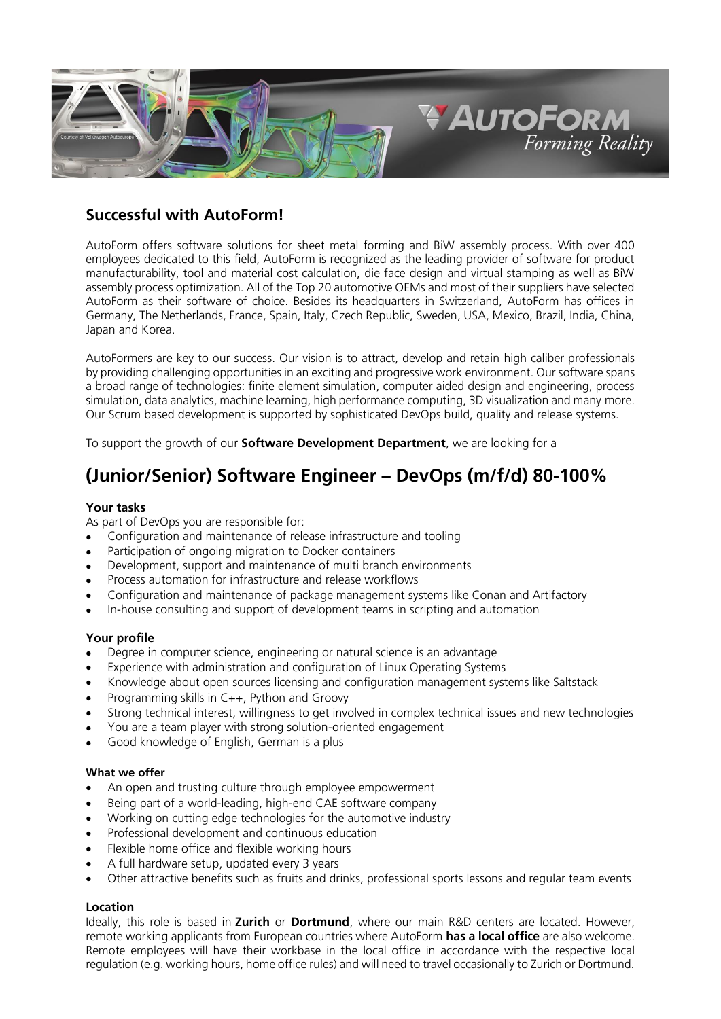

## *Successful with AutoForm!*

AutoForm offers software solutions for sheet metal forming and BiW assembly process. With over 400 employees dedicated to this field, AutoForm is recognized as the leading provider of software for product manufacturability, tool and material cost calculation, die face design and virtual stamping as well as BiW assembly process optimization. All of the Top 20 automotive OEMs and most of their suppliers have selected AutoForm as their software of choice. Besides its headquarters in Switzerland, AutoForm has offices in Germany, The Netherlands, France, Spain, Italy, Czech Republic, Sweden, USA, Mexico, Brazil, India, China, Japan and Korea.

AutoFormers are key to our success. Our vision is to attract, develop and retain high caliber professionals by providing challenging opportunities in an exciting and progressive work environment. Our software spans a broad range of technologies: finite element simulation, computer aided design and engineering, process simulation, data analytics, machine learning, high performance computing, 3D visualization and many more. Our Scrum based development is supported by sophisticated DevOps build, quality and release systems.

To support the growth of our *Software Development Department*, we are looking for a

# *(Junior/Senior) Software Engineer – DevOps (m/f/d) 80-100%*

### *Your tasks*

As part of DevOps you are responsible for:

- Configuration and maintenance of release infrastructure and tooling
- Participation of ongoing migration to Docker containers
- Development, support and maintenance of multi branch environments
- Process automation for infrastructure and release workflows
- Configuration and maintenance of package management systems like Conan and Artifactory
- In-house consulting and support of development teams in scripting and automation

### *Your profile*

- Degree in computer science, engineering or natural science is an advantage
- Experience with administration and configuration of Linux Operating Systems
- Knowledge about open sources licensing and configuration management systems like Saltstack
- Programming skills in C++, Python and Groovy
- Strong technical interest, willingness to get involved in complex technical issues and new technologies
- You are a team player with strong solution-oriented engagement
- Good knowledge of English, German is a plus

#### *What we offer*

- An open and trusting culture through employee empowerment
- Being part of a world-leading, high-end CAE software company
- Working on cutting edge technologies for the automotive industry
- Professional development and continuous education
- Flexible home office and flexible working hours
- A full hardware setup, updated every 3 years
- Other attractive benefits such as fruits and drinks, professional sports lessons and regular team events

### *Location*

Ideally, this role is based in *Zurich* or *Dortmund*, where our main R&D centers are located. However, remote working applicants from European countries where AutoForm *[has a local office](https://www.autoform.com/en/about-us/contact/)* are also welcome. Remote employees will have their workbase in the local office in accordance with the respective local regulation (e.g. working hours, home office rules) and will need to travel occasionally to Zurich or Dortmund.